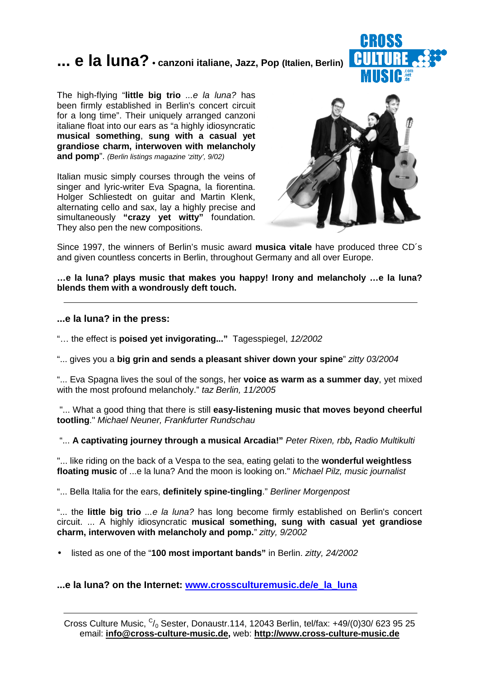# **... e la luna? • canzoni italiane, Jazz, Pop (Italien, Berlin)**



The high-flying "**little big trio** ...e la luna? has been firmly established in Berlin's concert circuit for a long time". Their uniquely arranged canzoni italiane float into our ears as "a highly idiosyncratic **musical something**, **sung with a casual yet grandiose charm, interwoven with melancholy and pomp**". (Berlin listings magazine 'zitty', 9/02)

Italian music simply courses through the veins of singer and lyric-writer Eva Spagna, la fiorentina. Holger Schliestedt on guitar and Martin Klenk, alternating cello and sax, lay a highly precise and simultaneously **"crazy yet witty"** foundation. They also pen the new compositions.



Since 1997, the winners of Berlin's music award **musica vitale** have produced three CD´s and given countless concerts in Berlin, throughout Germany and all over Europe.

**…e la luna? plays music that makes you happy! Irony and melancholy …e la luna? blends them with a wondrously deft touch.**

#### **...e la luna? in the press:**

"… the effect is **poised yet invigorating..."** Tagesspiegel, 12/2002

"... gives you a **big grin and sends a pleasant shiver down your spine**" zitty 03/2004

"... Eva Spagna lives the soul of the songs, her **voice as warm as a summer day**, yet mixed with the most profound melancholy." taz Berlin, 11/2005

 "... What a good thing that there is still **easy-listening music that moves beyond cheerful tootling**." Michael Neuner, Frankfurter Rundschau

"... **A captivating journey through a musical Arcadia!"** Peter Rixen, rbb**,** Radio Multikulti

"... like riding on the back of a Vespa to the sea, eating gelati to the **wonderful weightless floating music** of ...e la luna? And the moon is looking on." Michael Pilz, music journalist

"... Bella Italia for the ears, **definitely spine-tingling**." Berliner Morgenpost

"... the little big trio ...e la luna? has long become firmly established on Berlin's concert circuit. ... A highly idiosyncratic **musical something, sung with casual yet grandiose charm, interwoven with melancholy and pomp.**" zitty, 9/2002

• listed as one of the "**100 most important bands"** in Berlin. zitty, 24/2002

#### **...e la luna? on the Internet: www.crossculturemusic.de/e\_la\_luna**

Cross Culture Music,  $C/0$  Sester, Donaustr.114, 12043 Berlin, tel/fax: +49/(0)30/ 623 95 25 email: **info@cross-culture-music.de,** web: **http://www.cross-culture-music.de**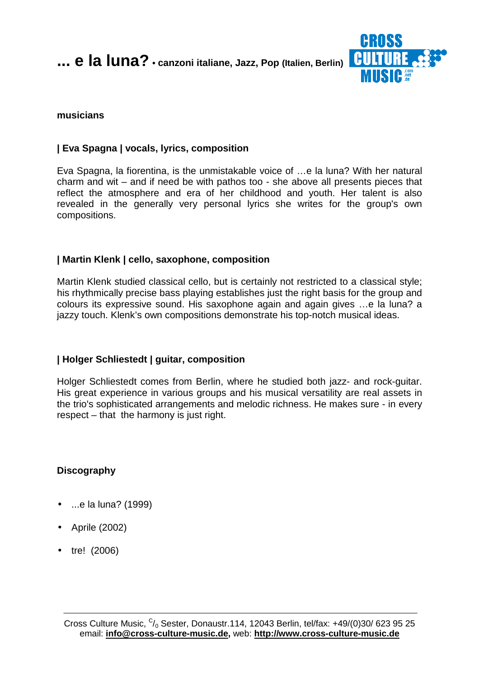

#### **musicians**

## **| Eva Spagna | vocals, lyrics, composition**

Eva Spagna, la fiorentina, is the unmistakable voice of …e la luna? With her natural charm and wit – and if need be with pathos too - she above all presents pieces that reflect the atmosphere and era of her childhood and youth. Her talent is also revealed in the generally very personal lyrics she writes for the group's own compositions.

## **| Martin Klenk | cello, saxophone, composition**

Martin Klenk studied classical cello, but is certainly not restricted to a classical style; his rhythmically precise bass playing establishes just the right basis for the group and colours its expressive sound. His saxophone again and again gives …e la luna? a jazzy touch. Klenk's own compositions demonstrate his top-notch musical ideas.

## **| Holger Schliestedt | guitar, composition**

Holger Schliestedt comes from Berlin, where he studied both jazz- and rock-guitar. His great experience in various groups and his musical versatility are real assets in the trio's sophisticated arrangements and melodic richness. He makes sure - in every respect – that the harmony is just right.

## **Discography**

- ...e la luna? (1999)
- Aprile (2002)
- tre! (2006)